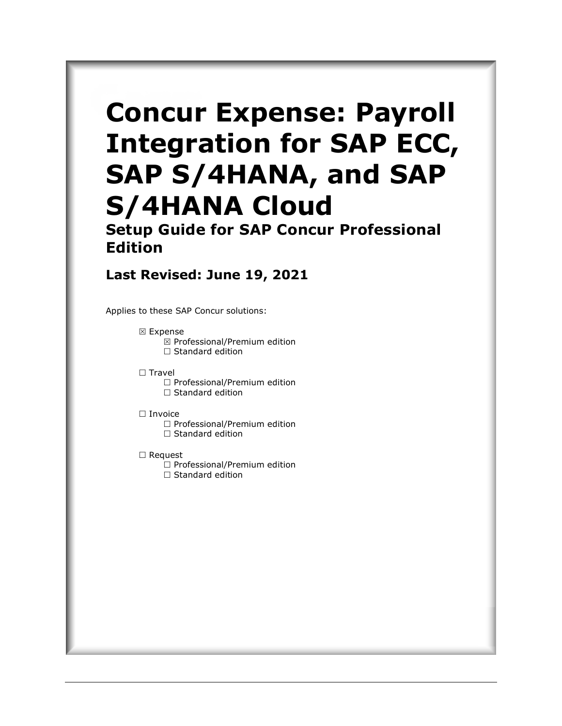# **Concur Expense: Payroll Integration for SAP ECC, SAP S/4HANA, and SAP S/4HANA Cloud**

**Setup Guide for SAP Concur Professional Edition**

### **Last Revised: June 19, 2021**

Applies to these SAP Concur solutions:

- **⊠** Expense  $\boxtimes$  Professional/Premium edition  $\Box$  Standard edition
- $\Box$  Travel
	- $\Box$  Professional/Premium edition  $\Box$  Standard edition
- □ Invoice
	- $\Box$  Professional/Premium edition  $\Box$  Standard edition
	-
- □ Request
	- $\Box$  Professional/Premium edition  $\Box$  Standard edition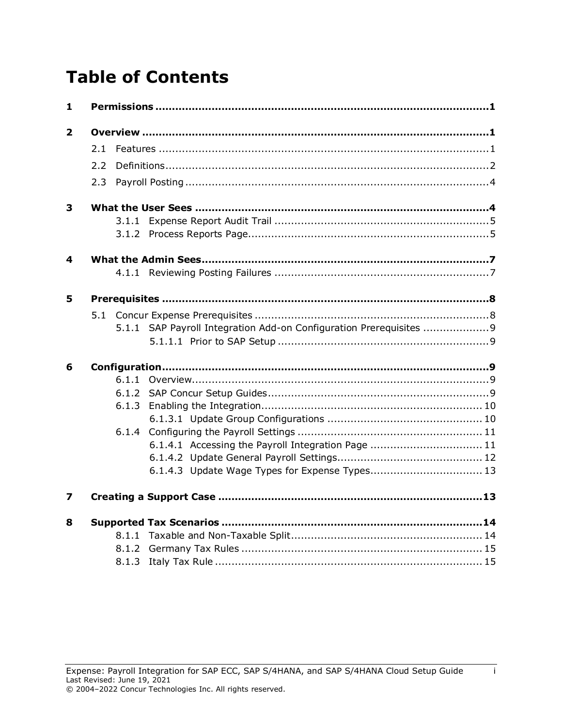# **Table of Contents**

| 1            |     |       |                                                                     |  |
|--------------|-----|-------|---------------------------------------------------------------------|--|
| $\mathbf{2}$ |     |       |                                                                     |  |
|              | 2.1 |       |                                                                     |  |
|              | 2.2 |       |                                                                     |  |
|              | 2.3 |       |                                                                     |  |
| 3            |     |       |                                                                     |  |
|              |     |       |                                                                     |  |
|              |     |       |                                                                     |  |
| 4            |     |       |                                                                     |  |
|              |     |       |                                                                     |  |
| 5            |     |       |                                                                     |  |
|              |     |       |                                                                     |  |
|              |     |       | 5.1.1 SAP Payroll Integration Add-on Configuration Prerequisites  9 |  |
|              |     |       |                                                                     |  |
| 6            |     |       |                                                                     |  |
|              |     |       |                                                                     |  |
|              |     |       |                                                                     |  |
|              |     | 6.1.3 |                                                                     |  |
|              |     |       |                                                                     |  |
|              |     | 6.1.4 |                                                                     |  |
|              |     |       | 6.1.4.1 Accessing the Payroll Integration Page  11                  |  |
|              |     |       | 6.1.4.3 Update Wage Types for Expense Types 13                      |  |
| 7            |     |       |                                                                     |  |
|              |     |       |                                                                     |  |
| 8            |     |       |                                                                     |  |
|              |     |       |                                                                     |  |
|              |     |       |                                                                     |  |
|              |     | 8.1.3 |                                                                     |  |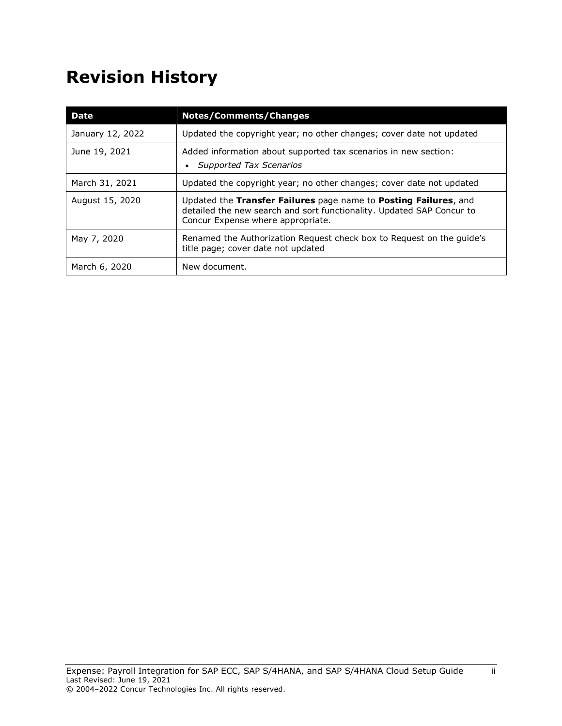# **Revision History**

| <b>Date</b>      | <b>Notes/Comments/Changes</b>                                                                                                                                                  |
|------------------|--------------------------------------------------------------------------------------------------------------------------------------------------------------------------------|
| January 12, 2022 | Updated the copyright year; no other changes; cover date not updated                                                                                                           |
| June 19, 2021    | Added information about supported tax scenarios in new section:<br>Supported Tax Scenarios                                                                                     |
| March 31, 2021   | Updated the copyright year; no other changes; cover date not updated                                                                                                           |
| August 15, 2020  | Updated the Transfer Failures page name to Posting Failures, and<br>detailed the new search and sort functionality. Updated SAP Concur to<br>Concur Expense where appropriate. |
| May 7, 2020      | Renamed the Authorization Request check box to Request on the guide's<br>title page; cover date not updated                                                                    |
| March 6, 2020    | New document.                                                                                                                                                                  |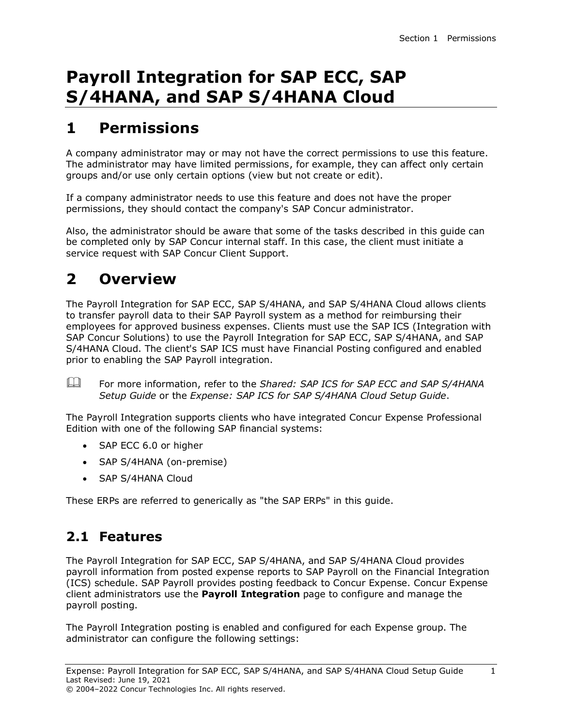## **Payroll Integration for SAP ECC, SAP S/4HANA, and SAP S/4HANA Cloud**

### <span id="page-3-0"></span>**1 Permissions**

A company administrator may or may not have the correct permissions to use this feature. The administrator may have limited permissions, for example, they can affect only certain groups and/or use only certain options (view but not create or edit).

If a company administrator needs to use this feature and does not have the proper permissions, they should contact the company's SAP Concur administrator.

Also, the administrator should be aware that some of the tasks described in this guide can be completed only by SAP Concur internal staff. In this case, the client must initiate a service request with SAP Concur Client Support.

### <span id="page-3-1"></span>**2 Overview**

The Payroll Integration for SAP ECC, SAP S/4HANA, and SAP S/4HANA Cloud allows clients to transfer payroll data to their SAP Payroll system as a method for reimbursing their employees for approved business expenses. Clients must use the SAP ICS (Integration with SAP Concur Solutions) to use the Payroll Integration for SAP ECC, SAP S/4HANA, and SAP S/4HANA Cloud. The client's SAP ICS must have Financial Posting configured and enabled prior to enabling the SAP Payroll integration.

 For more information, refer to the *Shared: SAP ICS for SAP ECC and SAP S/4HANA Setup Guide* or the *Expense: SAP ICS for SAP S/4HANA Cloud Setup Guide*.

The Payroll Integration supports clients who have integrated Concur Expense Professional Edition with one of the following SAP financial systems:

- SAP ECC 6.0 or higher
- SAP S/4HANA (on-premise)
- SAP S/4HANA Cloud

<span id="page-3-2"></span>These ERPs are referred to generically as "the SAP ERPs" in this guide.

### **2.1 Features**

The Payroll Integration for SAP ECC, SAP S/4HANA, and SAP S/4HANA Cloud provides payroll information from posted expense reports to SAP Payroll on the Financial Integration (ICS) schedule. SAP Payroll provides posting feedback to Concur Expense. Concur Expense client administrators use the **Payroll Integration** page to configure and manage the payroll posting.

The Payroll Integration posting is enabled and configured for each Expense group. The administrator can configure the following settings: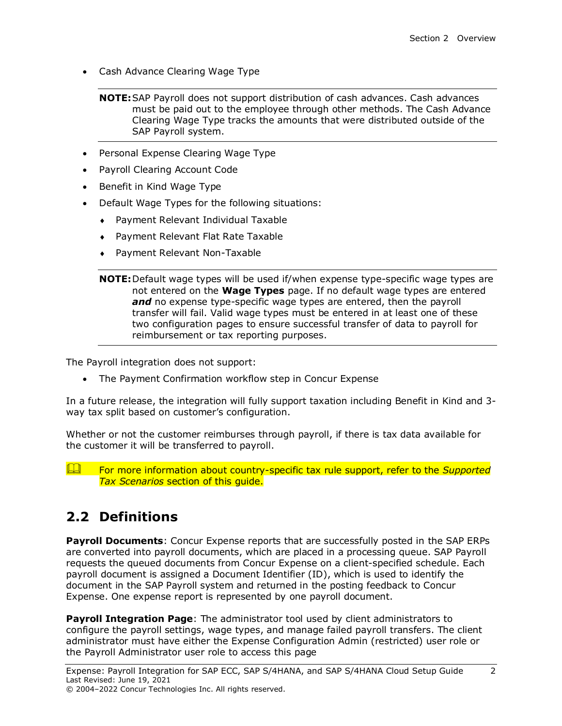• Cash Advance Clearing Wage Type

- Personal Expense Clearing Wage Type
- Payroll Clearing Account Code
- Benefit in Kind Wage Type
- Default Wage Types for the following situations:
	- Payment Relevant Individual Taxable
	- Payment Relevant Flat Rate Taxable
	- Payment Relevant Non-Taxable

**NOTE:**Default wage types will be used if/when expense type-specific wage types are not entered on the **Wage Types** page. If no default wage types are entered and no expense type-specific wage types are entered, then the payroll transfer will fail. Valid wage types must be entered in at least one of these two configuration pages to ensure successful transfer of data to payroll for reimbursement or tax reporting purposes.

The Payroll integration does not support:

• The Payment Confirmation workflow step in Concur Expense

In a future release, the integration will fully support taxation including Benefit in Kind and 3 way tax split based on customer's configuration.

Whether or not the customer reimburses through payroll, if there is tax data available for the customer it will be transferred to payroll.

**Example 15 For more information about country-specific tax rule support, refer to the Supported** *Tax Scenarios* section of this guide.

### <span id="page-4-0"></span>**2.2 Definitions**

**Payroll Documents**: Concur Expense reports that are successfully posted in the SAP ERPs are converted into payroll documents, which are placed in a processing queue. SAP Payroll requests the queued documents from Concur Expense on a client-specified schedule. Each payroll document is assigned a Document Identifier (ID), which is used to identify the document in the SAP Payroll system and returned in the posting feedback to Concur Expense. One expense report is represented by one payroll document.

**Payroll Integration Page**: The administrator tool used by client administrators to configure the payroll settings, wage types, and manage failed payroll transfers. The client administrator must have either the Expense Configuration Admin (restricted) user role or the Payroll Administrator user role to access this page

**NOTE:**SAP Payroll does not support distribution of cash advances. Cash advances must be paid out to the employee through other methods. The Cash Advance Clearing Wage Type tracks the amounts that were distributed outside of the SAP Payroll system.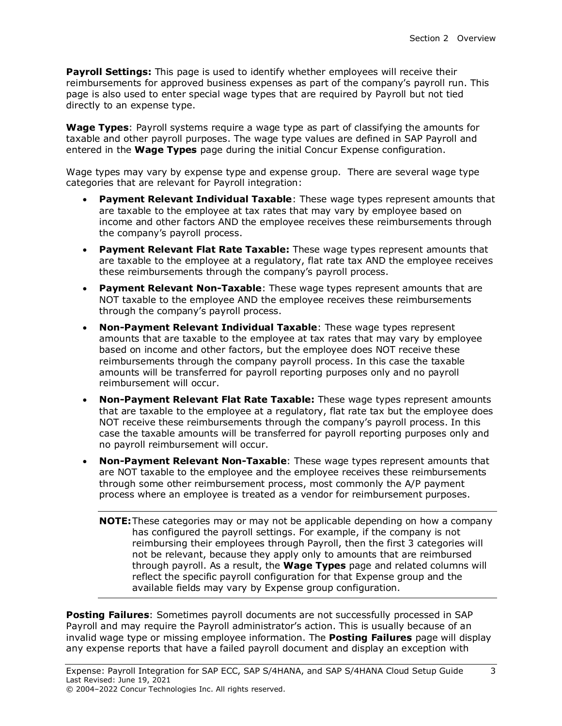**Payroll Settings:** This page is used to identify whether employees will receive their reimbursements for approved business expenses as part of the company's payroll run. This page is also used to enter special wage types that are required by Payroll but not tied directly to an expense type.

**Wage Types**: Payroll systems require a wage type as part of classifying the amounts for taxable and other payroll purposes. The wage type values are defined in SAP Payroll and entered in the **Wage Types** page during the initial Concur Expense configuration.

Wage types may vary by expense type and expense group. There are several wage type categories that are relevant for Payroll integration:

- **Payment Relevant Individual Taxable**: These wage types represent amounts that are taxable to the employee at tax rates that may vary by employee based on income and other factors AND the employee receives these reimbursements through the company's payroll process.
- **Payment Relevant Flat Rate Taxable:** These wage types represent amounts that are taxable to the employee at a regulatory, flat rate tax AND the employee receives these reimbursements through the company's payroll process.
- **Payment Relevant Non-Taxable**: These wage types represent amounts that are NOT taxable to the employee AND the employee receives these reimbursements through the company's payroll process.
- **Non-Payment Relevant Individual Taxable**: These wage types represent amounts that are taxable to the employee at tax rates that may vary by employee based on income and other factors, but the employee does NOT receive these reimbursements through the company payroll process. In this case the taxable amounts will be transferred for payroll reporting purposes only and no payroll reimbursement will occur.
- **Non-Payment Relevant Flat Rate Taxable:** These wage types represent amounts that are taxable to the employee at a regulatory, flat rate tax but the employee does NOT receive these reimbursements through the company's payroll process. In this case the taxable amounts will be transferred for payroll reporting purposes only and no payroll reimbursement will occur.
- **Non-Payment Relevant Non-Taxable**: These wage types represent amounts that are NOT taxable to the employee and the employee receives these reimbursements through some other reimbursement process, most commonly the A/P payment process where an employee is treated as a vendor for reimbursement purposes.
	- **NOTE:**These categories may or may not be applicable depending on how a company has configured the payroll settings. For example, if the company is not reimbursing their employees through Payroll, then the first 3 categories will not be relevant, because they apply only to amounts that are reimbursed through payroll. As a result, the **Wage Types** page and related columns will reflect the specific payroll configuration for that Expense group and the available fields may vary by Expense group configuration.

**Posting Failures**: Sometimes payroll documents are not successfully processed in SAP Payroll and may require the Payroll administrator's action. This is usually because of an invalid wage type or missing employee information. The **Posting Failures** page will display any expense reports that have a failed payroll document and display an exception with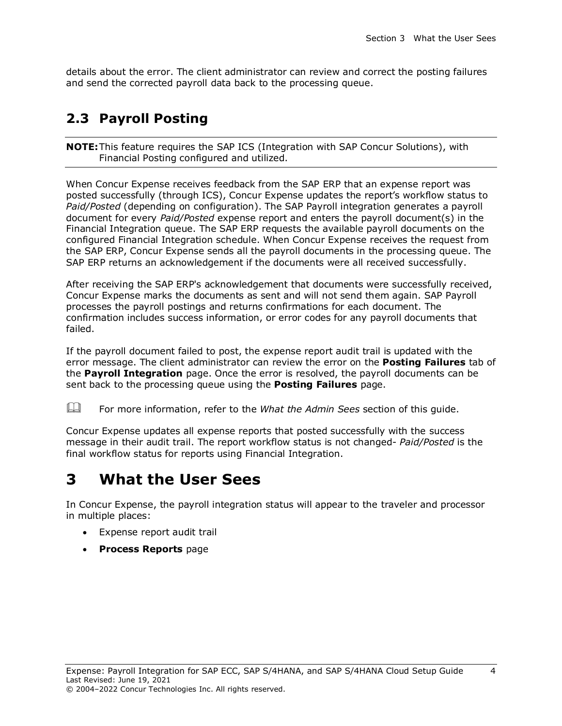details about the error. The client administrator can review and correct the posting failures and send the corrected payroll data back to the processing queue.

### <span id="page-6-0"></span>**2.3 Payroll Posting**

**NOTE:**This feature requires the SAP ICS (Integration with SAP Concur Solutions), with Financial Posting configured and utilized.

When Concur Expense receives feedback from the SAP ERP that an expense report was posted successfully (through ICS), Concur Expense updates the report's workflow status to *Paid/Posted* (depending on configuration). The SAP Payroll integration generates a payroll document for every *Paid/Posted* expense report and enters the payroll document(s) in the Financial Integration queue. The SAP ERP requests the available payroll documents on the configured Financial Integration schedule. When Concur Expense receives the request from the SAP ERP, Concur Expense sends all the payroll documents in the processing queue. The SAP ERP returns an acknowledgement if the documents were all received successfully.

After receiving the SAP ERP's acknowledgement that documents were successfully received, Concur Expense marks the documents as sent and will not send them again. SAP Payroll processes the payroll postings and returns confirmations for each document. The confirmation includes success information, or error codes for any payroll documents that failed.

If the payroll document failed to post, the expense report audit trail is updated with the error message. The client administrator can review the error on the **Posting Failures** tab of the **Payroll Integration** page. Once the error is resolved, the payroll documents can be sent back to the processing queue using the **Posting Failures** page.

For more information, refer to the *What the Admin Sees* section of this guide.

Concur Expense updates all expense reports that posted successfully with the success message in their audit trail. The report workflow status is not changed- *Paid/Posted* is the final workflow status for reports using Financial Integration.

### <span id="page-6-1"></span>**3 What the User Sees**

In Concur Expense, the payroll integration status will appear to the traveler and processor in multiple places:

- Expense report audit trail
- **Process Reports** page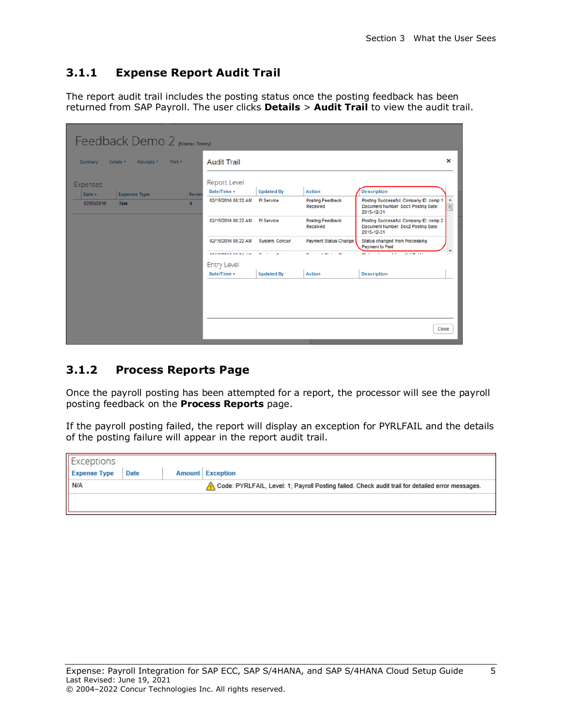#### <span id="page-7-0"></span>**3.1.1 Expense Report Audit Trail**

The report audit trail includes the posting status once the posting feedback has been returned from SAP Payroll. The user clicks **Details** > **Audit Trail** to view the audit trail.

|                             | Feedback Demo 2 [Kramer, Tommy]     |                              |                       |                                     |                                                                                             |                       |
|-----------------------------|-------------------------------------|------------------------------|-----------------------|-------------------------------------|---------------------------------------------------------------------------------------------|-----------------------|
| Summary<br>Details <b>v</b> | Receipts <b>v</b><br>Print <b>v</b> | <b>Audit Trail</b>           |                       |                                     |                                                                                             | ×                     |
| <b>Expenses</b>             |                                     | <b>Report Level</b>          |                       |                                     |                                                                                             |                       |
| Date v                      | <b>Expense Type</b>                 | Date/Time v<br><b>Reviet</b> | <b>Updated By</b>     | <b>Action</b>                       | <b>Description</b>                                                                          |                       |
| 02/03/2016<br>Taxi          | N                                   | 02/15/2016 08:22 AM          | <b>FI</b> Service     | <b>Posting Feedback</b><br>Received | Posting Successful. Company ID: comp 1<br>Document Number: Doc1 Posting Date:<br>2015-12-31 | $\blacktriangle$<br>目 |
|                             |                                     | 02/15/2016 08:22 AM          | <b>FI</b> Service     | <b>Posting Feedback</b><br>Received | Posting Successful. Company ID: comp 2<br>Document Number: Doc2 Posting Date:<br>2015-12-31 |                       |
|                             |                                     | 02/15/2016 08:22 AM          | <b>System, Concur</b> | <b>Payment Status Change</b>        | Status changed from Processing<br><b>Payment to Paid</b>                                    |                       |
|                             |                                     | ARISFINALA AN AL ISE         |                       |                                     | An International<br>$\cdot$                                                                 |                       |
|                             |                                     | <b>Entry Level</b>           |                       |                                     |                                                                                             |                       |
|                             |                                     | Date/Time v                  | <b>Updated By</b>     | <b>Action</b>                       | <b>Description</b>                                                                          |                       |
|                             |                                     |                              |                       |                                     |                                                                                             |                       |
|                             |                                     |                              |                       |                                     |                                                                                             |                       |
|                             |                                     |                              |                       |                                     |                                                                                             | Close                 |

#### <span id="page-7-1"></span>**3.1.2 Process Reports Page**

Once the payroll posting has been attempted for a report, the processor will see the payroll posting feedback on the **Process Reports** page.

If the payroll posting failed, the report will display an exception for PYRLFAIL and the details of the posting failure will appear in the report audit trail.

| Exceptions          |      |                                                                                                  |
|---------------------|------|--------------------------------------------------------------------------------------------------|
| <b>Expense Type</b> | Date | <b>Amount</b> Exception                                                                          |
| N/A                 |      | Code: PYRLFAIL, Level: 1; Payroll Posting failed. Check audit trail for detailed error messages. |
|                     |      |                                                                                                  |
|                     |      |                                                                                                  |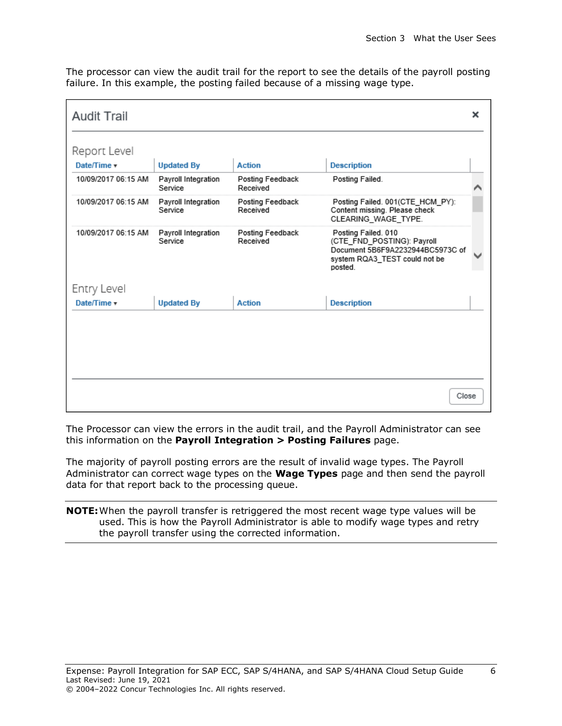The processor can view the audit trail for the report to see the details of the payroll posting failure. In this example, the posting failed because of a missing wage type.

| <b>Audit Trail</b>  |                                |                              |                                                                                                                                   | × |
|---------------------|--------------------------------|------------------------------|-----------------------------------------------------------------------------------------------------------------------------------|---|
| Report Level        |                                |                              |                                                                                                                                   |   |
| Date/Time v         | <b>Updated By</b>              | <b>Action</b>                | <b>Description</b>                                                                                                                |   |
| 10/09/2017 06:15 AM | Payroll Integration<br>Service | Posting Feedback<br>Received | Posting Failed.                                                                                                                   |   |
| 10/09/2017 06:15 AM | Payroll Integration<br>Service | Posting Feedback<br>Received | Posting Failed. 001(CTE HCM PY):<br>Content missing. Please check<br>CLEARING WAGE TYPE.                                          |   |
| 10/09/2017 06:15 AM | Payroll Integration<br>Service | Posting Feedback<br>Received | Posting Failed. 010<br>(CTE FND POSTING): Payroll<br>Document 5B6F9A2232944BC5973C of<br>system RQA3_TEST could not be<br>posted. |   |
| Entry Level         |                                |                              |                                                                                                                                   |   |
| Date/Time v         | <b>Updated By</b>              | <b>Action</b>                | <b>Description</b>                                                                                                                |   |
|                     |                                |                              | Close                                                                                                                             |   |

The Processor can view the errors in the audit trail, and the Payroll Administrator can see this information on the **Payroll Integration > Posting Failures** page.

The majority of payroll posting errors are the result of invalid wage types. The Payroll Administrator can correct wage types on the **Wage Types** page and then send the payroll data for that report back to the processing queue.

**NOTE:**When the payroll transfer is retriggered the most recent wage type values will be used. This is how the Payroll Administrator is able to modify wage types and retry the payroll transfer using the corrected information.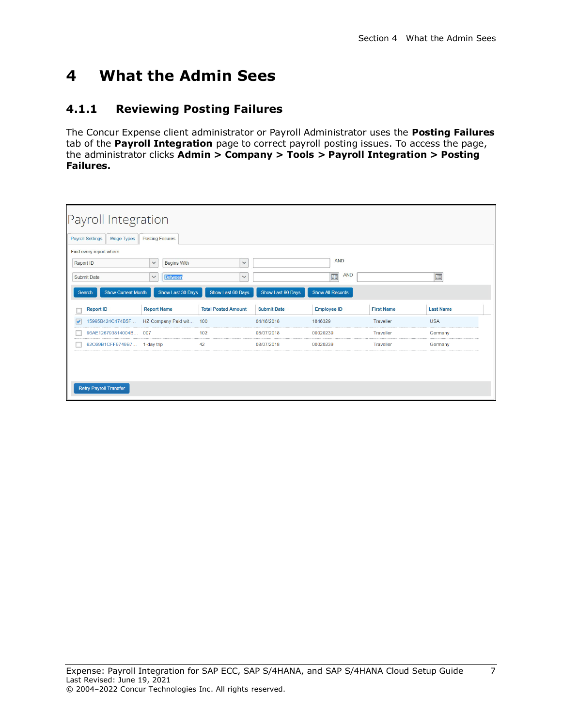### <span id="page-9-1"></span><span id="page-9-0"></span>**4 What the Admin Sees**

#### **4.1.1 Reviewing Posting Failures**

The Concur Expense client administrator or Payroll Administrator uses the **Posting Failures** tab of the **Payroll Integration** page to correct payroll posting issues. To access the page, the administrator clicks **Admin > Company > Tools > Payroll Integration > Posting Failures.** 

| Payroll Integration<br><b>Posting Failures</b> |                              |                                                 |                   |                  |  |
|------------------------------------------------|------------------------------|-------------------------------------------------|-------------------|------------------|--|
| <b>Begins With</b><br><b>Between</b>           | $\checkmark$<br>$\checkmark$ | <b>AND</b><br><b>AND</b><br>E                   |                   | E                |  |
| Show Last 30 Days                              |                              | <b>Show All Records</b>                         |                   |                  |  |
| <b>Report Name</b>                             | <b>Submit Date</b>           | <b>Employee ID</b>                              | <b>First Name</b> | <b>Last Name</b> |  |
| 15995B424C474B5F HZ Company Paid wit<br>100    | 04/16/2018                   | 1846329                                         | Traveller         | <b>USA</b>       |  |
| 102                                            | 08/07/2018                   | 00020239                                        | Traveller         | Germany          |  |
| 42                                             | 08/07/2018                   | 00020239                                        | Traveller         | Germany          |  |
|                                                |                              |                                                 |                   |                  |  |
|                                                |                              | Show Last 60 Days<br><b>Total Posted Amount</b> | Show Last 90 Days |                  |  |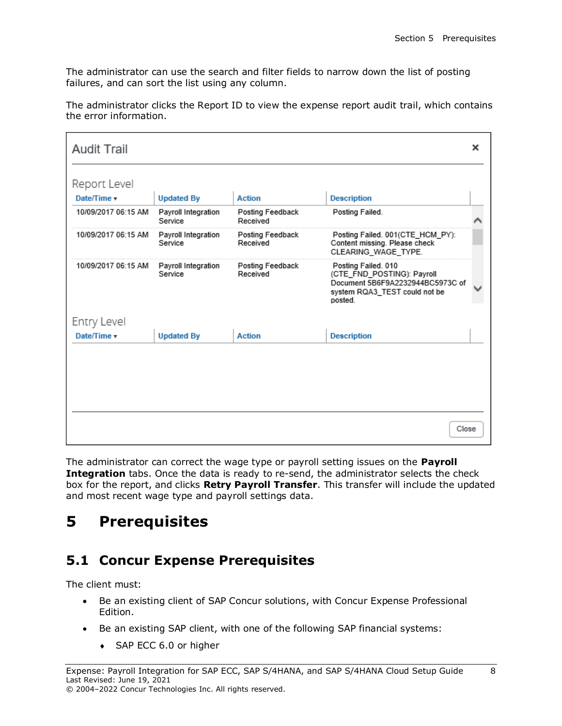The administrator can use the search and filter fields to narrow down the list of posting failures, and can sort the list using any column.

| Report Level<br>Date/Time v<br><b>Action</b><br><b>Updated By</b><br>10/09/2017 06:15 AM<br>Payroll Integration<br>Posting Feedback<br>Received<br>Service<br>10/09/2017 06:15 AM<br>Payroll Integration<br>Posting Feedback<br>Service<br>Received |
|-----------------------------------------------------------------------------------------------------------------------------------------------------------------------------------------------------------------------------------------------------|
|                                                                                                                                                                                                                                                     |
|                                                                                                                                                                                                                                                     |
|                                                                                                                                                                                                                                                     |
|                                                                                                                                                                                                                                                     |
| 10/09/2017 06:15 AM<br>Payroll Integration<br><b>Posting Feedback</b><br>Service<br>Received                                                                                                                                                        |
| Entry Level                                                                                                                                                                                                                                         |
| Date/Time v<br><b>Updated By</b><br><b>Action</b>                                                                                                                                                                                                   |
|                                                                                                                                                                                                                                                     |
|                                                                                                                                                                                                                                                     |

The administrator clicks the Report ID to view the expense report audit trail, which contains the error information.

The administrator can correct the wage type or payroll setting issues on the **Payroll**  Integration tabs. Once the data is ready to re-send, the administrator selects the check box for the report, and clicks **Retry Payroll Transfer**. This transfer will include the updated and most recent wage type and payroll settings data.

### <span id="page-10-1"></span><span id="page-10-0"></span>**5 Prerequisites**

### **5.1 Concur Expense Prerequisites**

The client must:

- Be an existing client of SAP Concur solutions, with Concur Expense Professional Edition.
- Be an existing SAP client, with one of the following SAP financial systems:
	- ◆ SAP ECC 6.0 or higher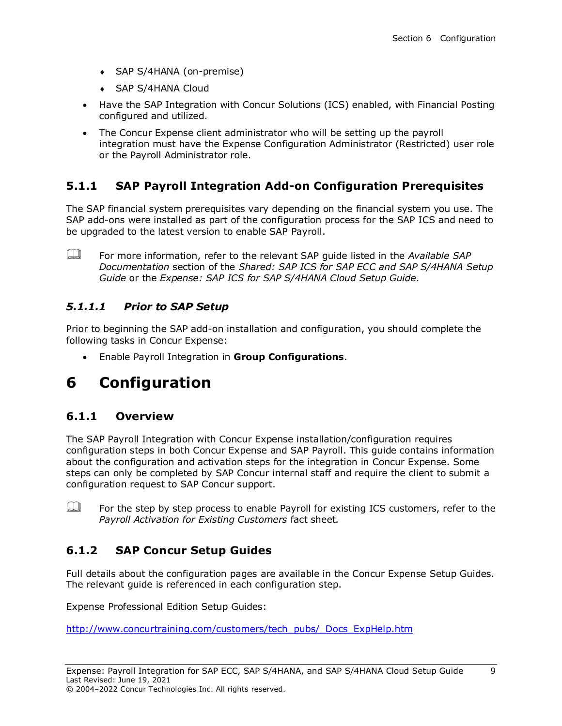- SAP S/4HANA (on-premise)
- ◆ SAP S/4HANA Cloud
- Have the SAP Integration with Concur Solutions (ICS) enabled, with Financial Posting configured and utilized.
- The Concur Expense client administrator who will be setting up the payroll integration must have the Expense Configuration Administrator (Restricted) user role or the Payroll Administrator role.

### <span id="page-11-0"></span>**5.1.1 SAP Payroll Integration Add-on Configuration Prerequisites**

The SAP financial system prerequisites vary depending on the financial system you use. The SAP add-ons were installed as part of the configuration process for the SAP ICS and need to be upgraded to the latest version to enable SAP Payroll.

 For more information, refer to the relevant SAP guide listed in the *Available SAP Documentation* section of the *Shared: SAP ICS for SAP ECC and SAP S/4HANA Setup Guide* or the *Expense: SAP ICS for SAP S/4HANA Cloud Setup Guide*.

#### <span id="page-11-1"></span>*5.1.1.1 Prior to SAP Setup*

Prior to beginning the SAP add-on installation and configuration, you should complete the following tasks in Concur Expense:

• Enable Payroll Integration in **Group Configurations**.

### <span id="page-11-3"></span><span id="page-11-2"></span>**6 Configuration**

#### **6.1.1 Overview**

The SAP Payroll Integration with Concur Expense installation/configuration requires configuration steps in both Concur Expense and SAP Payroll. This guide contains information about the configuration and activation steps for the integration in Concur Expense. Some steps can only be completed by SAP Concur internal staff and require the client to submit a configuration request to SAP Concur support.

 $\Box$  For the step by step process to enable Payroll for existing ICS customers, refer to the *Payroll Activation for Existing Customers* fact sheet*.*

### <span id="page-11-4"></span>**6.1.2 SAP Concur Setup Guides**

Full details about the configuration pages are available in the Concur Expense Setup Guides. The relevant guide is referenced in each configuration step.

Expense Professional Edition Setup Guides:

[http://www.concurtraining.com/customers/tech\\_pubs/\\_Docs\\_ExpHelp.htm](http://www.concurtraining.com/customers/tech_pubs/_Docs_ExpHelp.htm)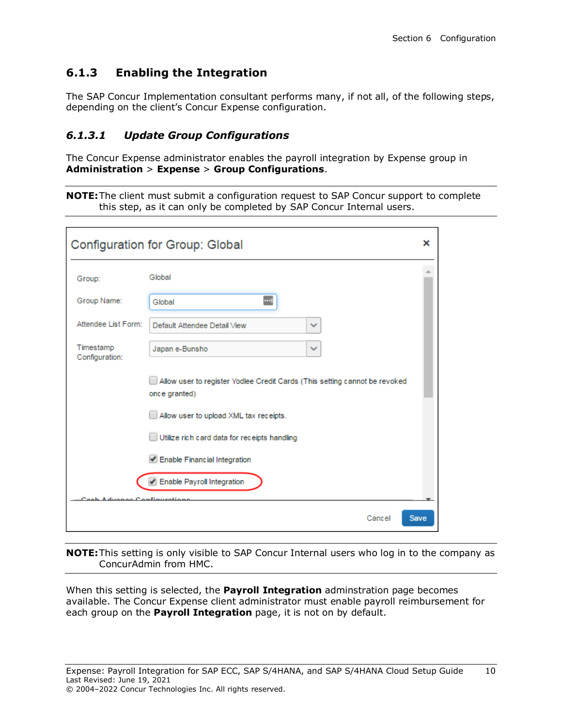### <span id="page-12-0"></span>**6.1.3 Enabling the Integration**

The SAP Concur Implementation consultant performs many, if not all, of the following steps, depending on the client's Concur Expense configuration.

#### <span id="page-12-1"></span>*6.1.3.1 Update Group Configurations*

The Concur Expense administrator enables the payroll integration by Expense group in **Administration** > **Expense** > **Group Configurations**.

|  |  | <b>NOTE:</b> The client must submit a configuration request to SAP Concur support to complete |  |  |
|--|--|-----------------------------------------------------------------------------------------------|--|--|
|  |  | this step, as it can only be completed by SAP Concur Internal users.                          |  |  |

|                             | Configuration for Group: Global                                                             |              | ×           |
|-----------------------------|---------------------------------------------------------------------------------------------|--------------|-------------|
| Group:                      | Global                                                                                      |              |             |
| Group Name:                 | <br>Global                                                                                  |              |             |
| Attendee List Form:         | Default Attendee Detail View                                                                | $\checkmark$ |             |
| Timestamp<br>Configuration: | Japan e-Bunsho                                                                              | $\checkmark$ |             |
|                             | Allow user to register Yodlee Credit Cards (This setting cannot be revoked<br>once granted) |              |             |
|                             | Allow user to upload XML tax receipts.                                                      |              |             |
|                             | Utilize rich card data for receipts handling                                                |              |             |
|                             | Enable Financial Integration                                                                |              |             |
|                             | Enable Payroll Integration                                                                  |              |             |
| ممدينه                      | Configuration                                                                               |              |             |
|                             |                                                                                             | Cancel       | <b>Save</b> |

**NOTE:**This setting is only visible to SAP Concur Internal users who log in to the company as ConcurAdmin from HMC.

When this setting is selected, the **Payroll Integration** adminstration page becomes available. The Concur Expense client administrator must enable payroll reimbursement for each group on the **Payroll Integration** page, it is not on by default.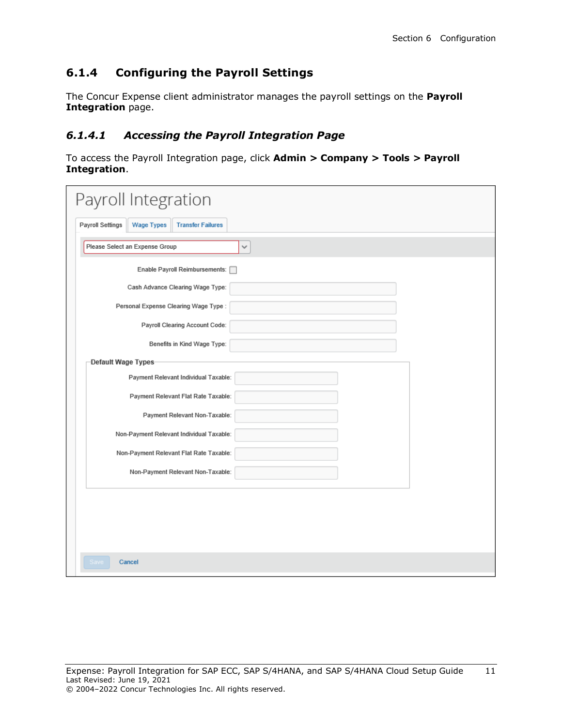### <span id="page-13-0"></span>**6.1.4 Configuring the Payroll Settings**

The Concur Expense client administrator manages the payroll settings on the **Payroll Integration** page.

#### <span id="page-13-1"></span>*6.1.4.1 Accessing the Payroll Integration Page*

To access the Payroll Integration page, click **Admin > Company > Tools > Payroll Integration**.

| Payroll Integration                                                      |   |
|--------------------------------------------------------------------------|---|
| <b>Payroll Settings</b><br><b>Wage Types</b><br><b>Transfer Failures</b> |   |
| Please Select an Expense Group                                           | v |
| Enable Payroll Reimbursements: [                                         |   |
| Cash Advance Clearing Wage Type:                                         |   |
| Personal Expense Clearing Wage Type:                                     |   |
| Payroll Clearing Account Code:                                           |   |
| Benefits in Kind Wage Type:                                              |   |
| Default Wage Types                                                       |   |
| Payment Relevant Individual Taxable:                                     |   |
| Payment Relevant Flat Rate Taxable:                                      |   |
| Payment Relevant Non-Taxable:                                            |   |
| Non-Payment Relevant Individual Taxable:                                 |   |
| Non-Payment Relevant Flat Rate Taxable:                                  |   |
| Non-Payment Relevant Non-Taxable:                                        |   |
|                                                                          |   |
|                                                                          |   |
|                                                                          |   |
|                                                                          |   |
| Save<br>Cancel                                                           |   |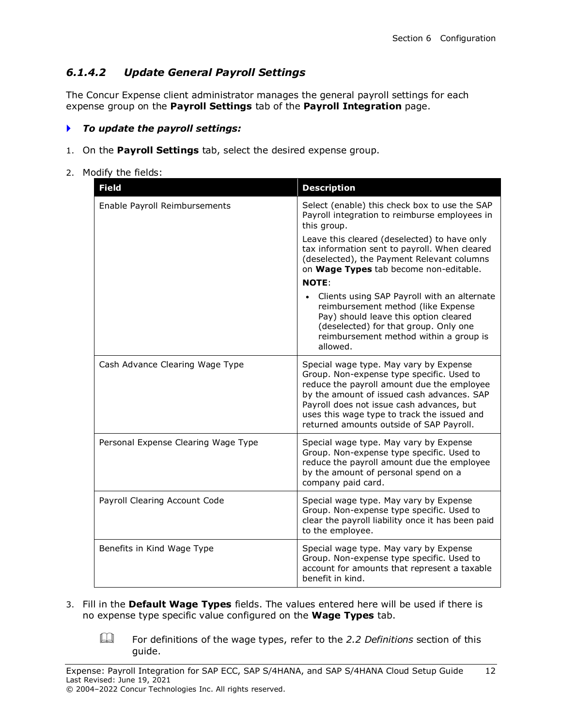#### <span id="page-14-0"></span>*6.1.4.2 Update General Payroll Settings*

The Concur Expense client administrator manages the general payroll settings for each expense group on the **Payroll Settings** tab of the **Payroll Integration** page.

#### *To update the payroll settings:*

- 1. On the **Payroll Settings** tab, select the desired expense group.
- 2. Modify the fields:

| <b>Field</b>                        | <b>Description</b>                                                                                                                                                                                                                                                                                                      |
|-------------------------------------|-------------------------------------------------------------------------------------------------------------------------------------------------------------------------------------------------------------------------------------------------------------------------------------------------------------------------|
| Enable Payroll Reimbursements       | Select (enable) this check box to use the SAP<br>Payroll integration to reimburse employees in<br>this group.                                                                                                                                                                                                           |
|                                     | Leave this cleared (deselected) to have only<br>tax information sent to payroll. When cleared<br>(deselected), the Payment Relevant columns<br>on Wage Types tab become non-editable.                                                                                                                                   |
|                                     | <b>NOTE:</b>                                                                                                                                                                                                                                                                                                            |
|                                     | Clients using SAP Payroll with an alternate<br>reimbursement method (like Expense<br>Pay) should leave this option cleared<br>(deselected) for that group. Only one<br>reimbursement method within a group is<br>allowed.                                                                                               |
| Cash Advance Clearing Wage Type     | Special wage type. May vary by Expense<br>Group. Non-expense type specific. Used to<br>reduce the payroll amount due the employee<br>by the amount of issued cash advances. SAP<br>Payroll does not issue cash advances, but<br>uses this wage type to track the issued and<br>returned amounts outside of SAP Payroll. |
| Personal Expense Clearing Wage Type | Special wage type. May vary by Expense<br>Group. Non-expense type specific. Used to<br>reduce the payroll amount due the employee<br>by the amount of personal spend on a<br>company paid card.                                                                                                                         |
| Payroll Clearing Account Code       | Special wage type. May vary by Expense<br>Group. Non-expense type specific. Used to<br>clear the payroll liability once it has been paid<br>to the employee.                                                                                                                                                            |
| Benefits in Kind Wage Type          | Special wage type. May vary by Expense<br>Group. Non-expense type specific. Used to<br>account for amounts that represent a taxable<br>benefit in kind.                                                                                                                                                                 |

3. Fill in the **Default Wage Types** fields. The values entered here will be used if there is no expense type specific value configured on the **Wage Types** tab.

 For definitions of the wage types, refer to the *2.2 Definitions* section of this guide.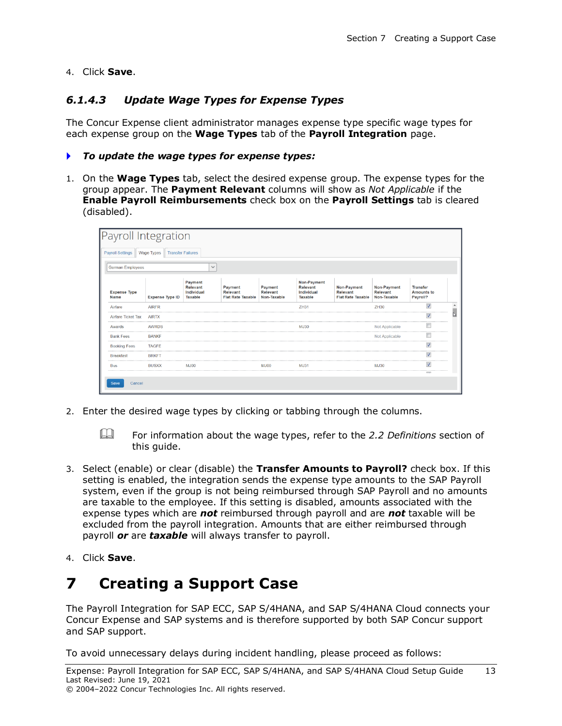<span id="page-15-0"></span>4. Click **Save**.

#### *6.1.4.3 Update Wage Types for Expense Types*

The Concur Expense client administrator manages expense type specific wage types for each expense group on the **Wage Types** tab of the **Payroll Integration** page.

#### *To update the wage types for expense types:*

1. On the **Wage Types** tab, select the desired expense group. The expense types for the group appear. The **Payment Relevant** columns will show as *Not Applicable* if the **Enable Payroll Reimbursements** check box on the **Payroll Settings** tab is cleared (disabled).

| Payroll Integration         |                        |                                                            |                                                        |                                    |                                                  |                                                     |                                        |                                                  |  |
|-----------------------------|------------------------|------------------------------------------------------------|--------------------------------------------------------|------------------------------------|--------------------------------------------------|-----------------------------------------------------|----------------------------------------|--------------------------------------------------|--|
| <b>Payroll Settings</b>     | Wage Types             | <b>Transfer Failures</b>                                   |                                                        |                                    |                                                  |                                                     |                                        |                                                  |  |
| <b>German Employees</b>     |                        | $\checkmark$                                               |                                                        |                                    |                                                  |                                                     |                                        |                                                  |  |
| <b>Expense Type</b><br>Name | <b>Expense Type ID</b> | Payment<br><b>Relevant</b><br>Individual<br><b>Taxable</b> | Payment<br><b>Relevant</b><br><b>Flat Rate Taxable</b> | Payment<br>Relevant<br>Non-Taxable | Non-Payment<br>Relevant<br>Individual<br>Taxable | Non-Payment<br>Relevant<br><b>Flat Rate Taxable</b> | Non-Payment<br>Relevant<br>Non-Taxable | <b>Transfer</b><br><b>Amounts to</b><br>Payroll? |  |
| Airfare                     | <b>AIRFR</b>           |                                                            |                                                        |                                    | ZH31                                             |                                                     | ZH30                                   | $\overline{\mathsf{v}}$                          |  |
| Airfare Ticket Tax          | <b>AIRTX</b>           |                                                            |                                                        |                                    |                                                  |                                                     |                                        |                                                  |  |
| Awards                      | <b>AWRDS</b>           |                                                            |                                                        |                                    | MJ30                                             |                                                     | Not Applicable                         |                                                  |  |
| <b>Bank Fees</b>            | <b>BANKF</b>           |                                                            |                                                        |                                    |                                                  |                                                     | Not Applicable                         |                                                  |  |
| <b>Booking Fees</b>         | <b>TAGFE</b>           |                                                            |                                                        |                                    |                                                  |                                                     |                                        | $\overline{\mathsf{v}}$                          |  |
| <b>Breakfast</b>            | <b>BRKFT</b>           |                                                            |                                                        |                                    |                                                  |                                                     |                                        | $\overline{\mathsf{v}}$                          |  |
|                             |                        | <b>MJ00</b>                                                |                                                        | <b>MJ00</b>                        | <b>MJ31</b>                                      |                                                     | MJ30                                   | $\overline{\mathsf{v}}$                          |  |

2. Enter the desired wage types by clicking or tabbing through the columns.



 For information about the wage types, refer to the *2.2 Definitions* section of this guide.

- 3. Select (enable) or clear (disable) the **Transfer Amounts to Payroll?** check box. If this setting is enabled, the integration sends the expense type amounts to the SAP Payroll system, even if the group is not being reimbursed through SAP Payroll and no amounts are taxable to the employee. If this setting is disabled, amounts associated with the expense types which are *not* reimbursed through payroll and are *not* taxable will be excluded from the payroll integration. Amounts that are either reimbursed through payroll *or* are *taxable* will always transfer to payroll.
- <span id="page-15-1"></span>4. Click **Save**.

### **7 Creating a Support Case**

The Payroll Integration for SAP ECC, SAP S/4HANA, and SAP S/4HANA Cloud connects your Concur Expense and SAP systems and is therefore supported by both SAP Concur support and SAP support.

To avoid unnecessary delays during incident handling, please proceed as follows: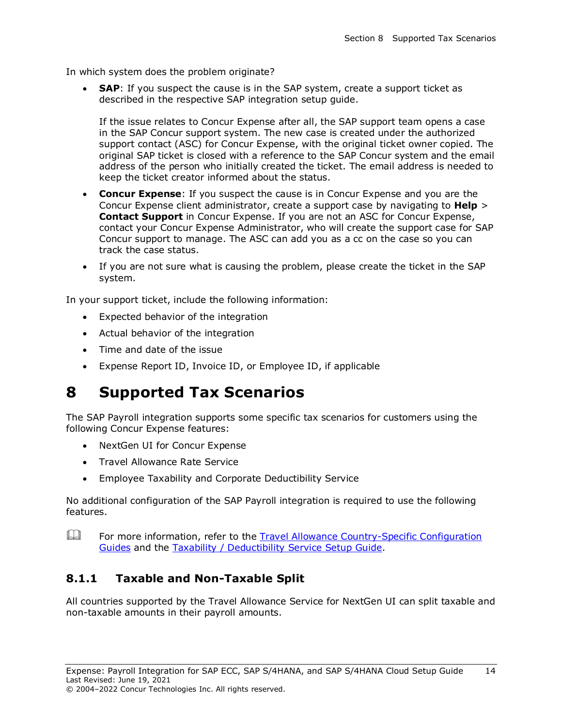In which system does the problem originate?

• **SAP**: If you suspect the cause is in the SAP system, create a support ticket as described in the respective SAP integration setup guide.

If the issue relates to Concur Expense after all, the SAP support team opens a case in the SAP Concur support system. The new case is created under the authorized support contact (ASC) for Concur Expense, with the original ticket owner copied. The original SAP ticket is closed with a reference to the SAP Concur system and the email address of the person who initially created the ticket. The email address is needed to keep the ticket creator informed about the status.

- **Concur Expense**: If you suspect the cause is in Concur Expense and you are the Concur Expense client administrator, create a support case by navigating to **Help** > **Contact Support** in Concur Expense. If you are not an ASC for Concur Expense, contact your Concur Expense Administrator, who will create the support case for SAP Concur support to manage. The ASC can add you as a cc on the case so you can track the case status.
- If you are not sure what is causing the problem, please create the ticket in the SAP system.

In your support ticket, include the following information:

- Expected behavior of the integration
- Actual behavior of the integration
- Time and date of the issue
- Expense Report ID, Invoice ID, or Employee ID, if applicable

### <span id="page-16-0"></span>**8 Supported Tax Scenarios**

The SAP Payroll integration supports some specific tax scenarios for customers using the following Concur Expense features:

- NextGen UI for Concur Expense
- Travel Allowance Rate Service
- Employee Taxability and Corporate Deductibility Service

No additional configuration of the SAP Payroll integration is required to use the following features.

 $\Box$  For more information, refer to the Travel Allowance [Country-Specific](https://www.concurtraining.com/customers/tech_pubs/Docs/TA/_CCC_Chp.htm) Configuration [Guides](https://www.concurtraining.com/customers/tech_pubs/Docs/TA/_CCC_Chp.htm) and the Taxability / [Deductibility](https://www.concurtraining.com/customers/tech_pubs/Docs/_Current/SG_Exp/Exp_SG_Taxability_Deductibility_Service.pdf) Service Setup Guide.

#### <span id="page-16-1"></span>**8.1.1 Taxable and Non-Taxable Split**

All countries supported by the Travel Allowance Service for NextGen UI can split taxable and non-taxable amounts in their payroll amounts.